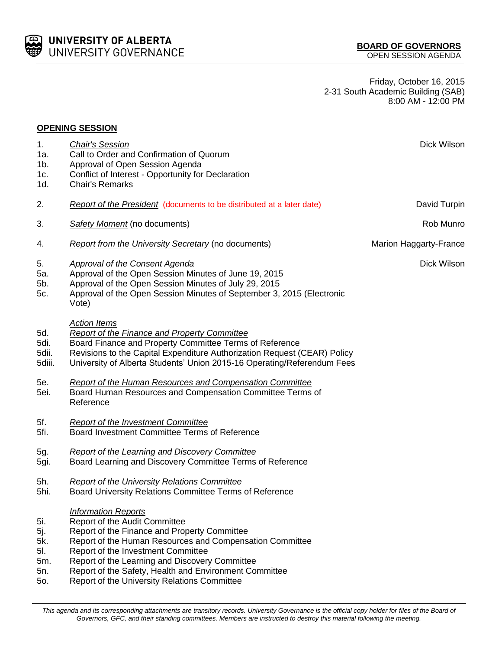

Friday, October 16, 2015 2-31 South Academic Building (SAB) 8:00 AM - 12:00 PM

| <b>OPENING SESSION</b> |  |  |
|------------------------|--|--|
|                        |  |  |

| 1.<br>1a.<br>$1b$ .<br>1c.<br>1d.             | <b>Chair's Session</b><br>Call to Order and Confirmation of Quorum<br>Approval of Open Session Agenda<br>Conflict of Interest - Opportunity for Declaration<br><b>Chair's Remarks</b>                                                                                                                                                                                     | Dick Wilson            |
|-----------------------------------------------|---------------------------------------------------------------------------------------------------------------------------------------------------------------------------------------------------------------------------------------------------------------------------------------------------------------------------------------------------------------------------|------------------------|
| 2.                                            | <b>Report of the President</b> (documents to be distributed at a later date)                                                                                                                                                                                                                                                                                              | David Turpin           |
| 3.                                            | <b>Safety Moment</b> (no documents)                                                                                                                                                                                                                                                                                                                                       | Rob Munro              |
| 4.                                            | <b>Report from the University Secretary (no documents)</b>                                                                                                                                                                                                                                                                                                                | Marion Haggarty-France |
| 5.<br>5a.<br>5b.<br>5c.                       | <b>Approval of the Consent Agenda</b><br>Approval of the Open Session Minutes of June 19, 2015<br>Approval of the Open Session Minutes of July 29, 2015<br>Approval of the Open Session Minutes of September 3, 2015 (Electronic<br>Vote)                                                                                                                                 | Dick Wilson            |
| 5d.<br>5di.<br>5dii.<br>5diii.                | <b>Action Items</b><br>Report of the Finance and Property Committee<br>Board Finance and Property Committee Terms of Reference<br>Revisions to the Capital Expenditure Authorization Request (CEAR) Policy<br>University of Alberta Students' Union 2015-16 Operating/Referendum Fees                                                                                     |                        |
| 5e.<br>5ei.                                   | Report of the Human Resources and Compensation Committee<br>Board Human Resources and Compensation Committee Terms of<br>Reference                                                                                                                                                                                                                                        |                        |
| 5f.<br>5fi.                                   | <b>Report of the Investment Committee</b><br>Board Investment Committee Terms of Reference                                                                                                                                                                                                                                                                                |                        |
| 5g.<br>5gi.                                   | <b>Report of the Learning and Discovery Committee</b><br>Board Learning and Discovery Committee Terms of Reference                                                                                                                                                                                                                                                        |                        |
| 5h.<br>5hi.                                   | <b>Report of the University Relations Committee</b><br>Board University Relations Committee Terms of Reference                                                                                                                                                                                                                                                            |                        |
| 5i.<br>5j.<br>5k.<br>5I.<br>5m.<br>5n.<br>50. | <b>Information Reports</b><br>Report of the Audit Committee<br>Report of the Finance and Property Committee<br>Report of the Human Resources and Compensation Committee<br>Report of the Investment Committee<br>Report of the Learning and Discovery Committee<br>Report of the Safety, Health and Environment Committee<br>Report of the University Relations Committee |                        |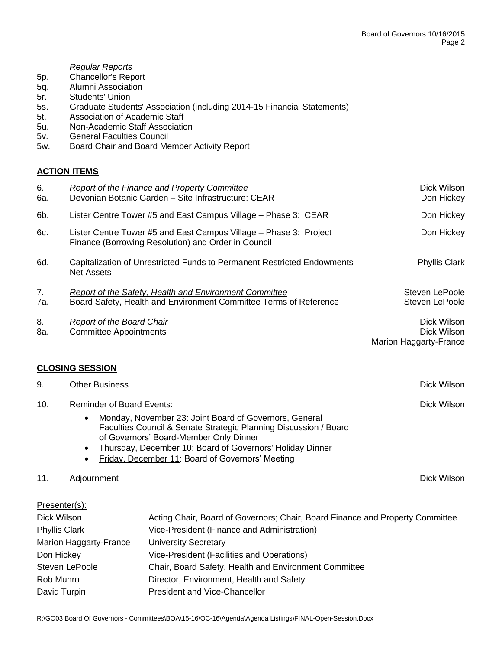*Regular Reports*

- 5p. Chancellor's Report
- 5q. Alumni Association
- 5r. Students' Union
- 5s. Graduate Students' Association (including 2014-15 Financial Statements)
- 5t. Association of Academic Staff
- 5u. Non-Academic Staff Association
- 5v. General Faculties Council
- 5w. Board Chair and Board Member Activity Report

## **ACTION ITEMS**

| 6.<br>6a. | Report of the Finance and Property Committee<br>Devonian Botanic Garden - Site Infrastructure: CEAR                         | Dick Wilson<br>Don Hickey                            |
|-----------|-----------------------------------------------------------------------------------------------------------------------------|------------------------------------------------------|
| 6b.       | Lister Centre Tower #5 and East Campus Village – Phase 3: CEAR                                                              | Don Hickey                                           |
| 6c.       | Lister Centre Tower #5 and East Campus Village – Phase 3: Project<br>Finance (Borrowing Resolution) and Order in Council    | Don Hickey                                           |
| 6d.       | Capitalization of Unrestricted Funds to Permanent Restricted Endowments<br><b>Net Assets</b>                                | <b>Phyllis Clark</b>                                 |
| 7.<br>7a. | Report of the Safety, Health and Environment Committee<br>Board Safety, Health and Environment Committee Terms of Reference | Steven LePoole<br>Steven LePoole                     |
| 8.<br>8a. | <b>Report of the Board Chair</b><br><b>Committee Appointments</b>                                                           | Dick Wilson<br>Dick Wilson<br>Marion Haggarty-France |
|           | <b>CLOSING SESSION</b>                                                                                                      |                                                      |
| 9.        | <b>Other Business</b>                                                                                                       | Dick Wilson                                          |

| 10. | <b>Reminder of Board Events:</b>    |                                                                                                                                                                                                                                                                                       | Dick Wilson |
|-----|-------------------------------------|---------------------------------------------------------------------------------------------------------------------------------------------------------------------------------------------------------------------------------------------------------------------------------------|-------------|
|     | $\bullet$<br>$\bullet$<br>$\bullet$ | Monday, November 23: Joint Board of Governors, General<br>Faculties Council & Senate Strategic Planning Discussion / Board<br>of Governors' Board-Member Only Dinner<br>Thursday, December 10: Board of Governors' Holiday Dinner<br>Friday, December 11: Board of Governors' Meeting |             |
| 11. | Adjournment                         |                                                                                                                                                                                                                                                                                       | Dick Wilson |
|     | Presenter(s):                       |                                                                                                                                                                                                                                                                                       |             |
|     | Dick Wilson                         | Acting Chair, Board of Governors; Chair, Board Finance and Property Committee                                                                                                                                                                                                         |             |
|     | <b>Phyllis Clark</b>                | Vice-President (Finance and Administration)                                                                                                                                                                                                                                           |             |
|     | Marion Haggarty-France              | <b>University Secretary</b>                                                                                                                                                                                                                                                           |             |
|     | Don Hickey                          | Vice-President (Facilities and Onerations)                                                                                                                                                                                                                                            |             |

| Don Hickey     | Vice-President (Facilities and Operations)            |
|----------------|-------------------------------------------------------|
| Steven LePoole | Chair, Board Safety, Health and Environment Committee |
| Rob Munro      | Director, Environment, Health and Safety              |
| David Turpin   | <b>President and Vice-Chancellor</b>                  |

R:\GO03 Board Of Governors - Committees\BOA\15-16\OC-16\Agenda\Agenda Listings\FINAL-Open-Session.Docx